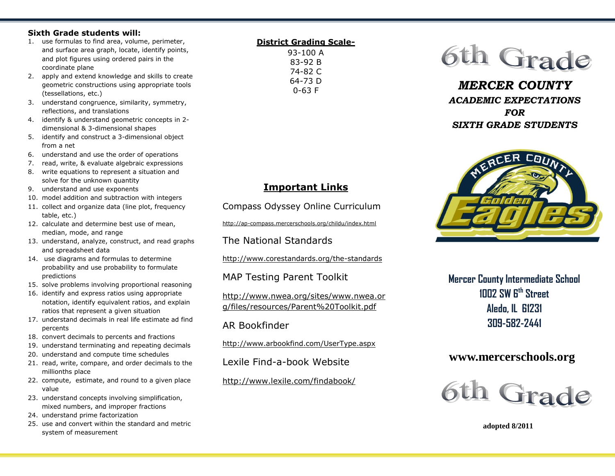### **Sixth Grade students will:**

- 1. use formulas to find area, volume, perimeter, and surface area graph, locate, identify points, and plot figures using ordered pairs in the coordinate plane
- 2. apply and extend knowledge and skills to create geometric constructions using appropriate tools (tessellations, etc.)
- 3. understand congruence, similarity, symmetry, reflections, and translations
- 4. identify & understand geometric concepts in 2 dimensional & 3-dimensional shapes
- 5. identify and construct a 3-dimensional object from a net
- 6. understand and use the order of operations
- 7. read, write, & evaluate algebraic expressions
- 8. write equations to represent a situation and solve for the unknown quantity
- 9. understand and use exponents
- 10. model addition and subtraction with integers
- 11. collect and organize data (line plot, frequency table, etc.)
- 12. calculate and determine best use of mean, median, mode, and range
- 13. understand, analyze, construct, and read graphs and spreadsheet data
- 14. use diagrams and formulas to determine probability and use probability to formulate predictions
- 15. solve problems involving proportional reasoning
- 16. identify and express ratios using appropriate notation, identify equivalent ratios, and explain ratios that represent a given situation
- 17. understand decimals in real life estimate ad find percents
- 18. convert decimals to percents and fractions
- 19. understand terminating and repeating decimals
- 20. understand and compute time schedules
- 21. read, write, compare, and order decimals to the millionths place
- 22. compute, estimate, and round to a given place value
- 23. understand concepts involving simplification, mixed numbers, and improper fractions
- 24. understand prime factorization
- 25. use and convert within the standard and metric system of measurement

#### **District Grading Scale-**93-100 A 83-92 B 74-82 C 64-73 D



*MERCER COUNTY ACADEMIC EXPECTATIONS FOR SIXTH GRADE STUDENTS*



**Mercer County Intermediate School 1002 SW 6th Street Aledo, IL 61231 309-582-2441**

# **www.mercerschools.org**



 **adopted 8/2011**

0-63 F

# **Important Links**

Compass Odyssey Online Curriculum

http://ap-compass.mercerschools.org/childu/index.html

The National Standards

http://www.corestandards.org/the-standards

MAP Testing Parent Toolkit

http://www.nwea.org/sites/www.nwea.or g/files/resources/Parent%20Toolkit.pdf

## AR Bookfinder

http://www.arbookfind.com/UserType.aspx

Lexile Find-a-book Website

http://www.lexile.com/findabook/